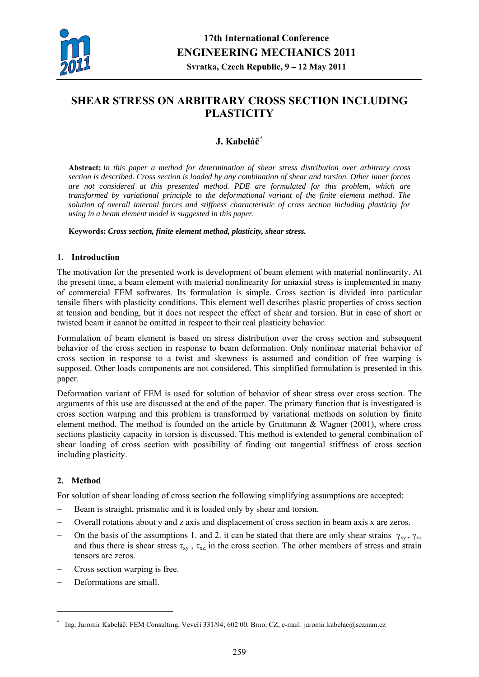

# **SHEAR STRESS ON ARBITRARY CROSS SECTION INCLUDING PLASTICITY**

# **J. Kabeláč[\\*](#page-0-0)**

**Abstract:** *In this paper a method for determination of shear stress distribution over arbitrary cross section is described. Cross section is loaded by any combination of shear and torsion. Other inner forces are not considered at this presented method. PDE are formulated for this problem, which are transformed by variational principle to the deformational variant of the finite element method. The solution of overall internal forces and stiffness characteristic of cross section including plasticity for using in a beam element model is suggested in this paper.* 

**Keywords:** *Cross section, finite element method, plasticity, shear stress.* 

## **1. Introduction**

The motivation for the presented work is development of beam element with material nonlinearity. At the present time, a beam element with material nonlinearity for uniaxial stress is implemented in many of commercial FEM softwares. Its formulation is simple. Cross section is divided into particular tensile fibers with plasticity conditions. This element well describes plastic properties of cross section at tension and bending, but it does not respect the effect of shear and torsion. But in case of short or twisted beam it cannot be omitted in respect to their real plasticity behavior.

Formulation of beam element is based on stress distribution over the cross section and subsequent behavior of the cross section in response to beam deformation. Only nonlinear material behavior of cross section in response to a twist and skewness is assumed and condition of free warping is supposed. Other loads components are not considered. This simplified formulation is presented in this paper.

Deformation variant of FEM is used for solution of behavior of shear stress over cross section. The arguments of this use are discussed at the end of the paper. The primary function that is investigated is cross section warping and this problem is transformed by variational methods on solution by finite element method. The method is founded on the article by Gruttmann & Wagner (2001), where cross sections plasticity capacity in torsion is discussed. This method is extended to general combination of shear loading of cross section with possibility of finding out tangential stiffness of cross section including plasticity.

## **2. Method**

1

For solution of shear loading of cross section the following simplifying assumptions are accepted:

- − Beam is straight, prismatic and it is loaded only by shear and torsion.
- − Overall rotations about y and z axis and displacement of cross section in beam axis x are zeros.
- On the basis of the assumptions 1. and 2. it can be stated that there are only shear strains  $\gamma_{xy}$ ,  $\gamma_{xz}$ and thus there is shear stress  $\tau_{xy}$ ,  $\tau_{xz}$  in the cross section. The other members of stress and strain tensors are zeros.
- − Cross section warping is free.
- Deformations are small.

<span id="page-0-0"></span><sup>\*</sup> Ing. Jaromír Kabeláč: FEM Consulting, Veveří 331/94; 602 00, Brno, CZ, e-mail: jaromir.kabelac@seznam.cz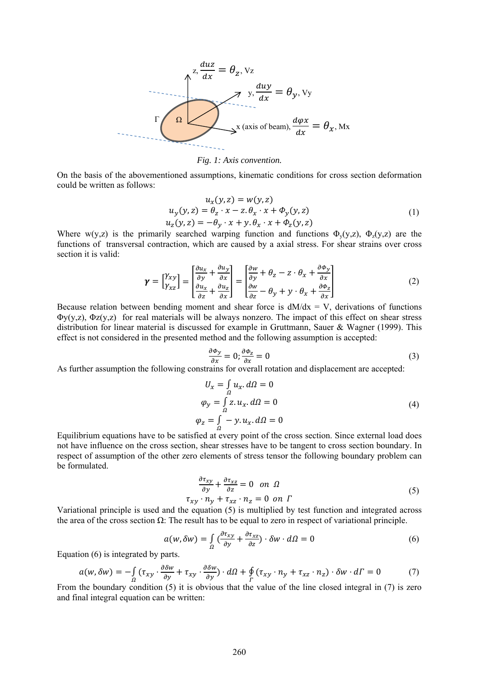

*Fig. 1: Axis convention.* 

On the basis of the abovementioned assumptions, kinematic conditions for cross section deformation could be written as follows:

$$
u_x(y, z) = w(y, z)
$$
  
\n
$$
u_y(y, z) = \theta_z \cdot x - z \cdot \theta_x \cdot x + \Phi_y(y, z)
$$
  
\n
$$
u_z(y, z) = -\theta_y \cdot x + y \cdot \theta_x \cdot x + \Phi_z(y, z)
$$
\n(1)

Where  $w(y,z)$  is the primarily searched warping function and functions  $\Phi_{y}(y,z)$ ,  $\Phi_{z}(y,z)$  are the functions of transversal contraction, which are caused by a axial stress. For shear strains over cross section it is valid:

$$
\boldsymbol{\gamma} = \begin{bmatrix} \gamma_{xy} \\ \gamma_{xz} \end{bmatrix} = \begin{bmatrix} \frac{\partial u_x}{\partial y} + \frac{\partial u_y}{\partial x} \\ \frac{\partial u_x}{\partial z} + \frac{\partial u_z}{\partial x} \end{bmatrix} = \begin{bmatrix} \frac{\partial w}{\partial y} + \theta_z - z \cdot \theta_x + \frac{\partial \Phi_y}{\partial x} \\ \frac{\partial w}{\partial z} - \theta_y + y \cdot \theta_x + \frac{\partial \Phi_z}{\partial x} \end{bmatrix}
$$
(2)

Because relation between bending moment and shear force is  $dM/dx = V$ , derivations of functions  $\Phi y(y, z)$ ,  $\Phi z(y, z)$  for real materials will be always nonzero. The impact of this effect on shear stress distribution for linear material is discussed for example in Gruttmann, Sauer & Wagner (1999). This effect is not considered in the presented method and the following assumption is accepted:

$$
\frac{\partial \Phi_y}{\partial x} = 0; \frac{\partial \Phi_z}{\partial x} = 0 \tag{3}
$$

As further assumption the following constrains for overall rotation and displacement are accepted:

$$
U_x = \int_{\Omega} u_x \, d\Omega = 0
$$
  
\n
$$
\varphi_y = \int_{\Omega} z \, u_x \, d\Omega = 0
$$
  
\n
$$
\varphi_z = \int_{\Omega} -y \, u_x \, d\Omega = 0
$$
\n(4)

Equilibrium equations have to be satisfied at every point of the cross section. Since external load does not have influence on the cross section, shear stresses have to be tangent to cross section boundary. In respect of assumption of the other zero elements of stress tensor the following boundary problem can be formulated.

$$
\frac{\partial \tau_{xy}}{\partial y} + \frac{\partial \tau_{xz}}{\partial z} = 0 \quad on \quad \Omega
$$
  

$$
\tau_{xy} \cdot n_y + \tau_{xz} \cdot n_z = 0 \quad on \quad \Gamma
$$
 (5)

Variational principle is used and the equation (5) is multiplied by test function and integrated across the area of the cross section  $\Omega$ : The result has to be equal to zero in respect of variational principle.

$$
a(w, \delta w) = \int_{\Omega} \left( \frac{\partial \tau_{xy}}{\partial y} + \frac{\partial \tau_{xz}}{\partial z} \right) \cdot \delta w \cdot d\Omega = 0 \tag{6}
$$

Equation (6) is integrated by parts.

$$
a(w, \delta w) = -\int_{\Omega} (\tau_{xy} \cdot \frac{\partial \delta w}{\partial y} + \tau_{xy} \cdot \frac{\partial \delta w}{\partial y}) \cdot d\Omega + \oint_{\Gamma} (\tau_{xy} \cdot n_y + \tau_{xz} \cdot n_z) \cdot \delta w \cdot d\Gamma = 0 \tag{7}
$$

From the boundary condition (5) it is obvious that the value of the line closed integral in (7) is zero and final integral equation can be written: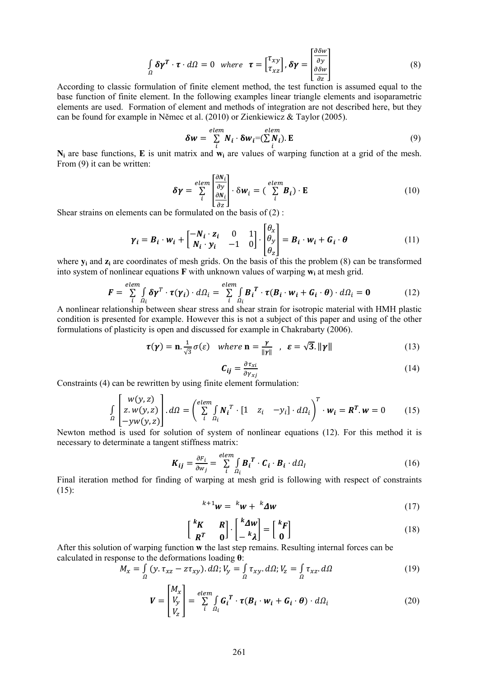$$
\int_{\Omega} \delta \gamma^T \cdot \tau \cdot d\Omega = 0 \quad \text{where} \quad \tau = \begin{bmatrix} \tau_{xy} \\ \tau_{xz} \end{bmatrix}, \delta \gamma = \begin{bmatrix} \frac{\partial \delta w}{\partial y} \\ \frac{\partial \delta w}{\partial z} \end{bmatrix}
$$
 (8)

According to classic formulation of finite element method, the test function is assumed equal to the base function of finite element. In the following examples linear triangle elements and isoparametric elements are used. Formation of element and methods of integration are not described here, but they can be found for example in Němec et al. (2010) or Zienkiewicz & Taylor (2005).

$$
\delta w = \sum_{i}^{elem} N_i \cdot \delta w_i = (\sum_{i}^{elem} N_i). \mathbf{E}
$$
 (9)

**N<sub>i</sub>** are base functions, **E** is unit matrix and **w**<sub>i</sub> are values of warping function at a grid of the mesh. From (9) it can be written:

$$
\delta \gamma = \sum_{i}^{elem} \left[ \frac{\frac{\partial N_i}{\partial y}}{\frac{\partial N_i}{\partial z}} \right] \cdot \delta w_i = \left( \sum_{i}^{elem} B_i \right) \cdot \mathbf{E}
$$
 (10)

Shear strains on elements can be formulated on the basis of  $(2)$ :

$$
\gamma_i = B_i \cdot w_i + \begin{bmatrix} -N_i \cdot z_i & 0 & 1 \\ N_i \cdot y_i & -1 & 0 \end{bmatrix} \cdot \begin{bmatrix} \theta_x \\ \theta_y \\ \theta_z \end{bmatrix} = B_i \cdot w_i + G_i \cdot \theta \qquad (11)
$$

where **y**<sub>i</sub> and **z**<sub>i</sub> are coordinates of mesh grids. On the basis of this the problem (8) can be transformed into system of nonlinear equations **F** with unknown values of warping **wi** at mesh grid.

$$
\mathbf{F} = \sum_{i}^{elem} \int_{\Omega_i} \delta \mathbf{\gamma}^T \cdot \boldsymbol{\tau}(\mathbf{\gamma}_i) \cdot d\Omega_i = \sum_{i}^{elem} \int_{\Omega_i} \boldsymbol{B}_i^T \cdot \boldsymbol{\tau}(\boldsymbol{B}_i \cdot \mathbf{w}_i + \boldsymbol{G}_i \cdot \boldsymbol{\theta}) \cdot d\Omega_i = \mathbf{0}
$$
(12)

A nonlinear relationship between shear stress and shear strain for isotropic material with HMH plastic condition is presented for example. However this is not a subject of this paper and using of the other formulations of plasticity is open and discussed for example in Chakrabarty (2006).

$$
\tau(\gamma) = \mathbf{n} \cdot \frac{1}{\sqrt{3}} \sigma(\varepsilon) \quad \text{where } \mathbf{n} = \frac{\gamma}{\|\gamma\|} \quad , \quad \varepsilon = \sqrt{3}. \|\gamma\| \tag{13}
$$

$$
C_{ij} = \frac{\partial \tau_{xi}}{\partial \gamma_{xj}} \tag{14}
$$

Constraints (4) can be rewritten by using finite element formulation:

$$
\int_{\Omega} \left[ \begin{array}{c} w(y, z) \\ z. w(y, z) \\ -yw(y, z) \end{array} \right] d\Omega = \left( \sum_{i}^{elem} \int_{\Omega_i} N_i^T \cdot [1 \quad z_i \quad -y_i] \cdot d\Omega_i \right)^T \cdot w_i = R^T \cdot w = 0 \tag{15}
$$

Newton method is used for solution of system of nonlinear equations (12). For this method it is necessary to determinate a tangent stiffness matrix:

$$
\boldsymbol{K}_{ij} = \frac{\partial F_i}{\partial w_j} = \sum_{i}^{elem} \int_{\Omega_i} \boldsymbol{B}_i^T \cdot \boldsymbol{C}_i \cdot \boldsymbol{B}_i \cdot d\Omega_l \tag{16}
$$

Final iteration method for finding of warping at mesh grid is following with respect of constraints  $(15)$ :

$$
k+1w = kw + k\Delta w \tag{17}
$$

$$
\begin{bmatrix} {}^{k}K & R \\ R^{T} & 0 \end{bmatrix} \cdot \begin{bmatrix} {}^{k}\Delta W \\ -{}^{k}\lambda \end{bmatrix} = \begin{bmatrix} {}^{k}F \\ 0 \end{bmatrix}
$$
 (18)

After this solution of warping function w the last step remains. Resulting internal forces can be calculated in response to the deformations loading **θ**:

$$
M_x = \int_{\Omega} (y. \tau_{xz} - z\tau_{xy}). d\Omega; V_y = \int_{\Omega} \tau_{xy}. d\Omega; V_z = \int_{\Omega} \tau_{xz}. d\Omega
$$
 (19)

$$
\boldsymbol{V} = \begin{bmatrix} M_x \\ V_y \\ V_z \end{bmatrix} = \sum_{i}^{elem} \int_{\Omega_i} \boldsymbol{G}_i^T \cdot \boldsymbol{\tau} (\boldsymbol{B}_i \cdot \boldsymbol{w}_i + \boldsymbol{G}_i \cdot \boldsymbol{\theta}) \cdot d\Omega_i
$$
 (20)